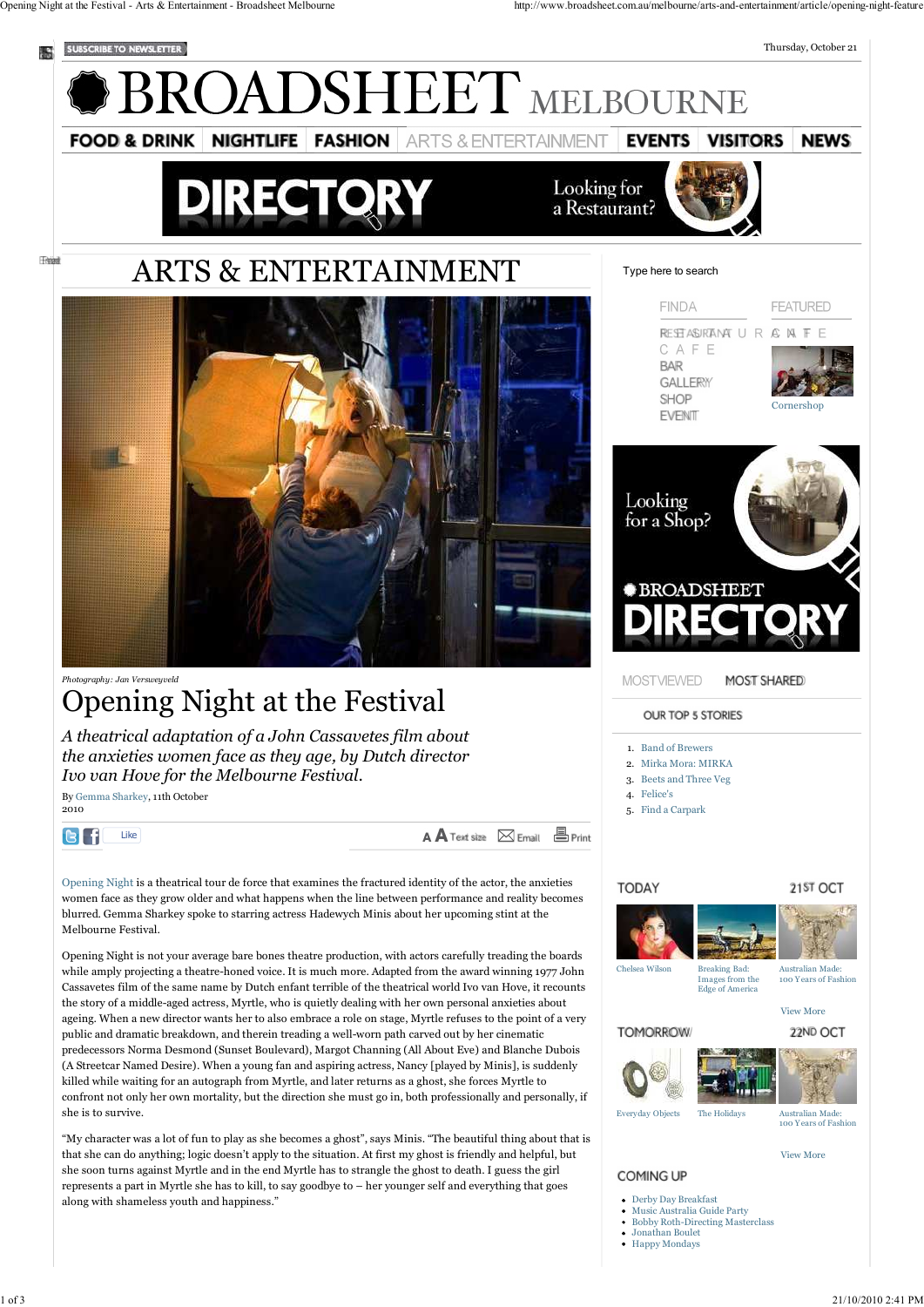2010

IВI

Franci



while amply projecting a theatre-honed voice. It is much more. Adapted from the award winning 1977 John Cassavetes film of the same name by Dutch enfant terrible of the theatrical world Ivo van Hove, it recounts

Edge of America View More **TOMORROW** 22ND OCT

the story of a middle-aged actress, Myrtle, who is quietly dealing with her own personal anxieties about ageing. When a new director wants her to also embrace a role on stage, Myrtle refuses to the point of a very public and dramatic breakdown, and therein treading a well-worn path carved out by her cinematic predecessors Norma Desmond (Sunset Boulevard), Margot Channing (All About Eve) and Blanche Dubois (A Streetcar Named Desire). When a young fan and aspiring actress, Nancy [played by Minis], is suddenly killed while waiting for an autograph from Myrtle, and later returns as a ghost, she forces Myrtle to confront not only her own mortality, but the direction she must go in, both professionally and personally, if she is to survive.

"My character was a lot of fun to play as she becomes a ghost", says Minis. "The beautiful thing about that is that she can do anything; logic doesn't apply to the situation. At first my ghost is friendly and helpful, but she soon turns against Myrtle and in the end Myrtle has to strangle the ghost to death. I guess the girl represents a part in Myrtle she has to kill, to say goodbye to – her younger self and everything that goes along with shameless youth and happiness."

Chelsea Wilson Breaking Bad:



Images from the

Australian Made: 100 Y ears of Fashion

Everyday Objects The Holidays Australian Made:

100 Y ears of Fashion

View More

**COMING UP** 

- Derby Day Breakfast
- Music Australia Guide Party
- Bobby Roth-Directing Masterclass
- Jonathan Boulet
- Happy Mondays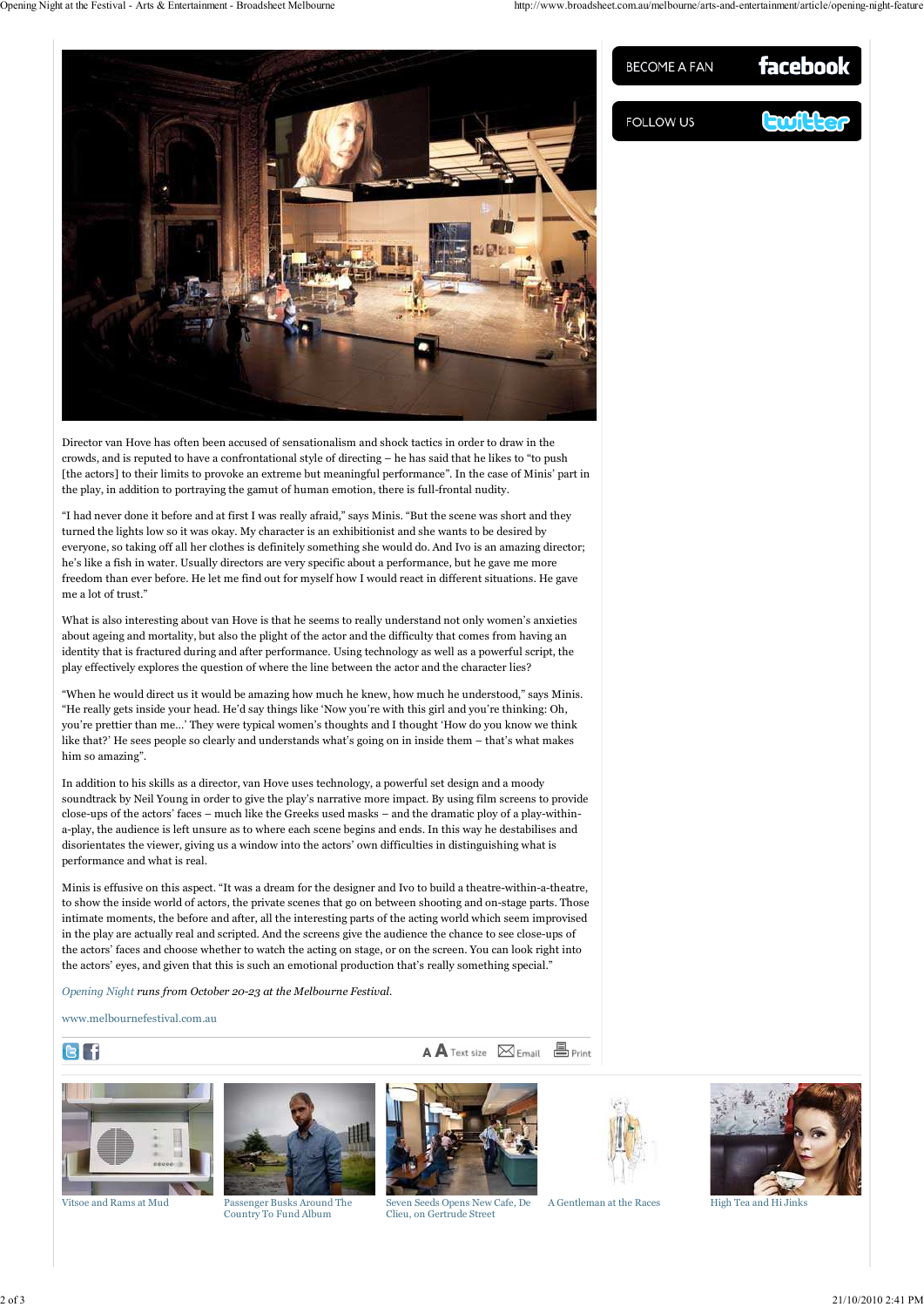Director van Hove has often been accused of sensationalism and shock tactics in order to draw in the crowds, and is reputed to have a confrontational style of directing – he has said that he likes to "to push [the actors] to their limits to provoke an extreme but meaningful performance". In the case of Minis' part in the play, in addition to portraying the gamut of human emotion, there is full-frontal nudity.

"I had never done it before and at first I was really afraid," says Minis. "But the scene was short and they turned the lights low so it was okay. My character is an exhibitionist and she wants to be desired by everyone, so taking off all her clothes is definitely something she would do. And Ivo is an amazing director; he's like a fish in water. Usually directors are very specific about a performance, but he gave me more freedom than ever before. He let me find out for myself how I would react in different situations. He gave me a lot of trust."

What is also interesting about van Hove is that he seems to really understand not only women's anxieties about ageing and mortality, but also the plight of the actor and the difficulty that comes from having an identity that is fractured during and after performance. Using technology as well as a powerful script, the play effectively explores the question of where the line between the actor and the character lies?

"When he would direct us it would be amazing how much he knew, how much he understood," says Minis. "He really gets inside your head. He'd say things like 'Now you're with this girl and you're thinking: Oh, you're prettier than me...' They were typical women's thoughts and I thought 'How do you know we think like that?' He sees people so clearly and understands what's going on in inside them – that's what makes him so amazing".

In addition to his skills as a director, van Hove uses technology, a powerful set design and a moody soundtrack by Neil Young in order to give the play's narrative more impact. By using film screens to provide close-ups of the actors' faces – much like the Greeks used masks – and the dramatic ploy of a play-withina-play, the audience is left unsure as to where each scene begins and ends. In this way he destabilises and disorientates the viewer, giving us a window into the actors' own difficulties in distinguishing what is performance and what is real.

Minis is effusive on this aspect. "It was a dream for the designer and Ivo to build a theatre-within-a-theatre, to show the inside world of actors, the private scenes that go on between shooting and on-stage parts. Those intimate moments, the before and after, all the interesting parts of the acting world which seem improvised in the play are actually real and scripted. And the screens give the audience the chance to see close-ups of the actors' faces and choose whether to watch the acting on stage, or on the screen. You can look right into the actors' eyes, and given that this is such an emotional production that's really something special."

FOLLOW US

BECOME A FAN



facebook